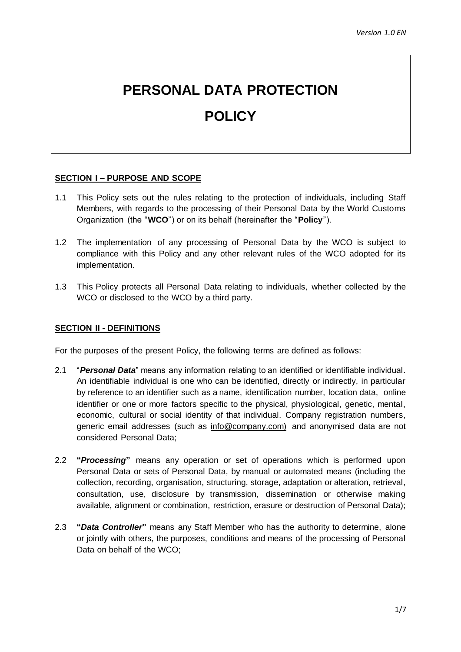# **PERSONAL DATA PROTECTION**

# **POLICY**

# **SECTION I – PURPOSE AND SCOPE**

- 1.1 This Policy sets out the rules relating to the protection of individuals, including Staff Members, with regards to the processing of their Personal Data by the World Customs Organization (the "**WCO**") or on its behalf (hereinafter the "**Policy**").
- 1.2 The implementation of any processing of Personal Data by the WCO is subject to compliance with this Policy and any other relevant rules of the WCO adopted for its implementation.
- 1.3 This Policy protects all Personal Data relating to individuals, whether collected by the WCO or disclosed to the WCO by a third party.

#### **SECTION II - DEFINITIONS**

For the purposes of the present Policy, the following terms are defined as follows:

- 2.1 "*Personal Data*" means any information relating to an identified or identifiable individual. An identifiable individual is one who can be identified, directly or indirectly, in particular by reference to an identifier such as a name, identification number, location data, online identifier or one or more factors specific to the physical, physiological, genetic, mental, economic, cultural or social identity of that individual. Company registration numbers, generic email addresses (such as [info@company.com\)](mailto:info@company.com) and anonymised data are not considered Personal Data;
- 2.2 **"***Processing***"** means any operation or set of operations which is performed upon Personal Data or sets of Personal Data, by manual or automated means (including the collection, recording, organisation, structuring, storage, adaptation or alteration, retrieval, consultation, use, disclosure by transmission, dissemination or otherwise making available, alignment or combination, restriction, erasure or destruction of Personal Data);
- 2.3 **"***Data Controller***"** means any Staff Member who has the authority to determine, alone or jointly with others, the purposes, conditions and means of the processing of Personal Data on behalf of the WCO;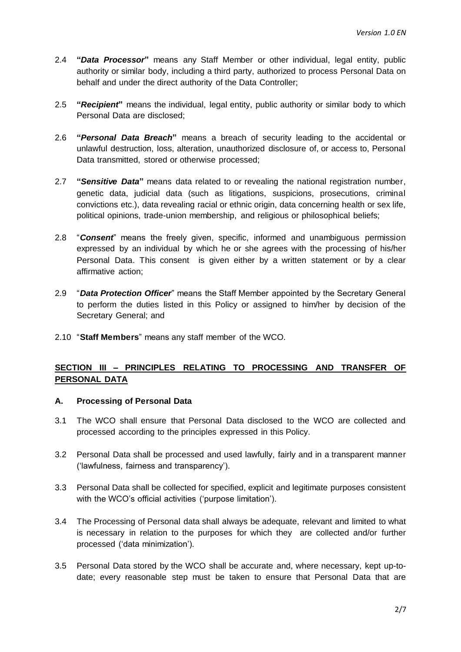- 2.4 **"***Data Processor***"** means any Staff Member or other individual, legal entity, public authority or similar body, including a third party, authorized to process Personal Data on behalf and under the direct authority of the Data Controller;
- 2.5 **"***Recipient***"** means the individual, legal entity, public authority or similar body to which Personal Data are disclosed;
- 2.6 **"***Personal Data Breach***"** means a breach of security leading to the accidental or unlawful destruction, loss, alteration, unauthorized disclosure of, or access to, Personal Data transmitted, stored or otherwise processed;
- 2.7 **"***Sensitive Data***"** means data related to or revealing the national registration number, genetic data, judicial data (such as litigations, suspicions, prosecutions, criminal convictions etc.), data revealing racial or ethnic origin, data concerning health or sex life, political opinions, trade-union membership, and religious or philosophical beliefs;
- 2.8 "*Consent*" means the freely given, specific, informed and unambiguous permission expressed by an individual by which he or she agrees with the processing of his/her Personal Data. This consent is given either by a written statement or by a clear affirmative action;
- 2.9 "*Data Protection Officer*" means the Staff Member appointed by the Secretary General to perform the duties listed in this Policy or assigned to him/her by decision of the Secretary General; and
- 2.10 "**Staff Members**" means any staff member of the WCO.

# **SECTION III – PRINCIPLES RELATING TO PROCESSING AND TRANSFER OF PERSONAL DATA**

#### **A. Processing of Personal Data**

- 3.1 The WCO shall ensure that Personal Data disclosed to the WCO are collected and processed according to the principles expressed in this Policy.
- 3.2 Personal Data shall be processed and used lawfully, fairly and in a transparent manner ('lawfulness, fairness and transparency').
- 3.3 Personal Data shall be collected for specified, explicit and legitimate purposes consistent with the WCO's official activities ('purpose limitation').
- 3.4 The Processing of Personal data shall always be adequate, relevant and limited to what is necessary in relation to the purposes for which they are collected and/or further processed ('data minimization').
- 3.5 Personal Data stored by the WCO shall be accurate and, where necessary, kept up-todate; every reasonable step must be taken to ensure that Personal Data that are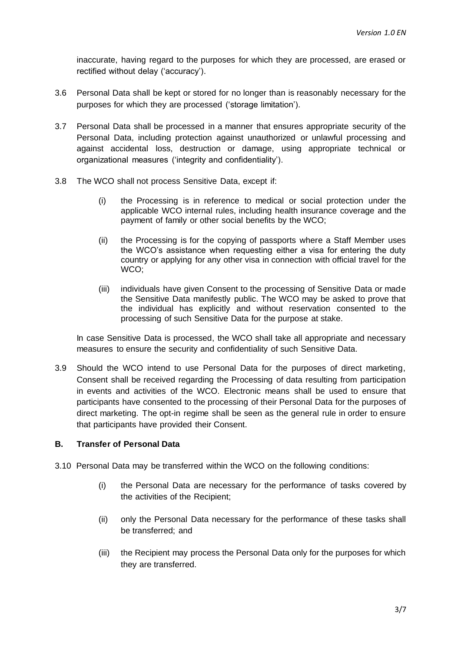inaccurate, having regard to the purposes for which they are processed, are erased or rectified without delay ('accuracy').

- 3.6 Personal Data shall be kept or stored for no longer than is reasonably necessary for the purposes for which they are processed ('storage limitation').
- 3.7 Personal Data shall be processed in a manner that ensures appropriate security of the Personal Data, including protection against unauthorized or unlawful processing and against accidental loss, destruction or damage, using appropriate technical or organizational measures ('integrity and confidentiality').
- 3.8 The WCO shall not process Sensitive Data, except if:
	- (i) the Processing is in reference to medical or social protection under the applicable WCO internal rules, including health insurance coverage and the payment of family or other social benefits by the WCO;
	- (ii) the Processing is for the copying of passports where a Staff Member uses the WCO's assistance when requesting either a visa for entering the duty country or applying for any other visa in connection with official travel for the WCO;
	- (iii) individuals have given Consent to the processing of Sensitive Data or made the Sensitive Data manifestly public. The WCO may be asked to prove that the individual has explicitly and without reservation consented to the processing of such Sensitive Data for the purpose at stake.

In case Sensitive Data is processed, the WCO shall take all appropriate and necessary measures to ensure the security and confidentiality of such Sensitive Data.

3.9 Should the WCO intend to use Personal Data for the purposes of direct marketing, Consent shall be received regarding the Processing of data resulting from participation in events and activities of the WCO. Electronic means shall be used to ensure that participants have consented to the processing of their Personal Data for the purposes of direct marketing. The opt-in regime shall be seen as the general rule in order to ensure that participants have provided their Consent.

# **B. Transfer of Personal Data**

- 3.10 Personal Data may be transferred within the WCO on the following conditions:
	- (i) the Personal Data are necessary for the performance of tasks covered by the activities of the Recipient;
	- (ii) only the Personal Data necessary for the performance of these tasks shall be transferred; and
	- (iii) the Recipient may process the Personal Data only for the purposes for which they are transferred.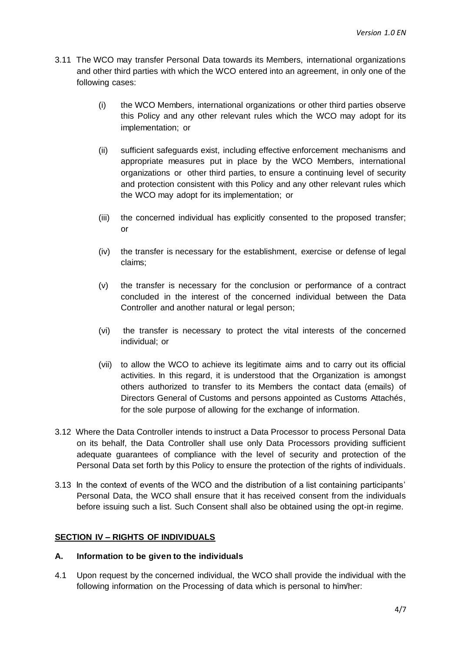- 3.11 The WCO may transfer Personal Data towards its Members, international organizations and other third parties with which the WCO entered into an agreement, in only one of the following cases:
	- (i) the WCO Members, international organizations or other third parties observe this Policy and any other relevant rules which the WCO may adopt for its implementation; or
	- (ii) sufficient safeguards exist, including effective enforcement mechanisms and appropriate measures put in place by the WCO Members, international organizations or other third parties, to ensure a continuing level of security and protection consistent with this Policy and any other relevant rules which the WCO may adopt for its implementation; or
	- (iii) the concerned individual has explicitly consented to the proposed transfer; or
	- (iv) the transfer is necessary for the establishment, exercise or defense of legal claims;
	- (v) the transfer is necessary for the conclusion or performance of a contract concluded in the interest of the concerned individual between the Data Controller and another natural or legal person;
	- (vi) the transfer is necessary to protect the vital interests of the concerned individual; or
	- (vii) to allow the WCO to achieve its legitimate aims and to carry out its official activities. In this regard, it is understood that the Organization is amongst others authorized to transfer to its Members the contact data (emails) of Directors General of Customs and persons appointed as Customs Attachés, for the sole purpose of allowing for the exchange of information.
- 3.12 Where the Data Controller intends to instruct a Data Processor to process Personal Data on its behalf, the Data Controller shall use only Data Processors providing sufficient adequate guarantees of compliance with the level of security and protection of the Personal Data set forth by this Policy to ensure the protection of the rights of individuals.
- 3.13 In the context of events of the WCO and the distribution of a list containing participants' Personal Data, the WCO shall ensure that it has received consent from the individuals before issuing such a list. Such Consent shall also be obtained using the opt-in regime.

# **SECTION IV – RIGHTS OF INDIVIDUALS**

#### **A. Information to be given to the individuals**

4.1 Upon request by the concerned individual, the WCO shall provide the individual with the following information on the Processing of data which is personal to him/her: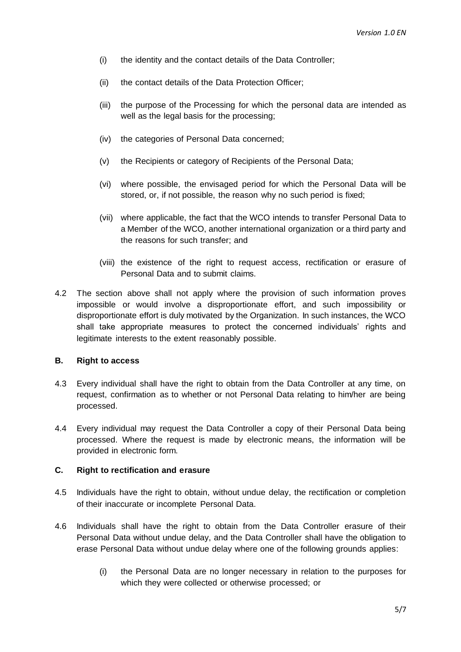- (i) the identity and the contact details of the Data Controller;
- (ii) the contact details of the Data Protection Officer;
- (iii) the purpose of the Processing for which the personal data are intended as well as the legal basis for the processing;
- (iv) the categories of Personal Data concerned;
- (v) the Recipients or category of Recipients of the Personal Data;
- (vi) where possible, the envisaged period for which the Personal Data will be stored, or, if not possible, the reason why no such period is fixed;
- (vii) where applicable, the fact that the WCO intends to transfer Personal Data to a Member of the WCO, another international organization or a third party and the reasons for such transfer; and
- (viii) the existence of the right to request access, rectification or erasure of Personal Data and to submit claims.
- 4.2 The section above shall not apply where the provision of such information proves impossible or would involve a disproportionate effort, and such impossibility or disproportionate effort is duly motivated by the Organization. In such instances, the WCO shall take appropriate measures to protect the concerned individuals' rights and legitimate interests to the extent reasonably possible.

#### **B. Right to access**

- 4.3 Every individual shall have the right to obtain from the Data Controller at any time, on request, confirmation as to whether or not Personal Data relating to him/her are being processed.
- 4.4 Every individual may request the Data Controller a copy of their Personal Data being processed. Where the request is made by electronic means, the information will be provided in electronic form.

#### **C. Right to rectification and erasure**

- 4.5 Individuals have the right to obtain, without undue delay, the rectification or completion of their inaccurate or incomplete Personal Data.
- 4.6 Individuals shall have the right to obtain from the Data Controller erasure of their Personal Data without undue delay, and the Data Controller shall have the obligation to erase Personal Data without undue delay where one of the following grounds applies:
	- (i) the Personal Data are no longer necessary in relation to the purposes for which they were collected or otherwise processed; or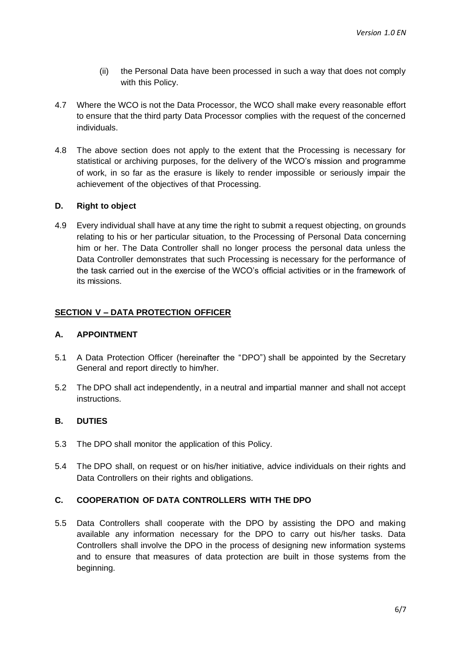- (ii) the Personal Data have been processed in such a way that does not comply with this Policy.
- 4.7 Where the WCO is not the Data Processor, the WCO shall make every reasonable effort to ensure that the third party Data Processor complies with the request of the concerned individuals.
- 4.8 The above section does not apply to the extent that the Processing is necessary for statistical or archiving purposes, for the delivery of the WCO's mission and programme of work, in so far as the erasure is likely to render impossible or seriously impair the achievement of the objectives of that Processing.

# **D. Right to object**

4.9 Every individual shall have at any time the right to submit a request objecting, on grounds relating to his or her particular situation, to the Processing of Personal Data concerning him or her. The Data Controller shall no longer process the personal data unless the Data Controller demonstrates that such Processing is necessary for the performance of the task carried out in the exercise of the WCO's official activities or in the framework of its missions.

# **SECTION V – DATA PROTECTION OFFICER**

#### **A. APPOINTMENT**

- 5.1 A Data Protection Officer (hereinafter the "DPO") shall be appointed by the Secretary General and report directly to him/her.
- 5.2 The DPO shall act independently, in a neutral and impartial manner and shall not accept instructions.

# **B. DUTIES**

- 5.3 The DPO shall monitor the application of this Policy.
- 5.4 The DPO shall, on request or on his/her initiative, advice individuals on their rights and Data Controllers on their rights and obligations.

#### **C. COOPERATION OF DATA CONTROLLERS WITH THE DPO**

5.5 Data Controllers shall cooperate with the DPO by assisting the DPO and making available any information necessary for the DPO to carry out his/her tasks. Data Controllers shall involve the DPO in the process of designing new information systems and to ensure that measures of data protection are built in those systems from the beginning.